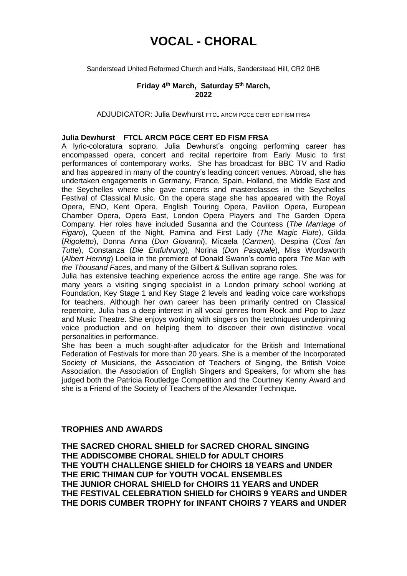# **VOCAL - CHORAL**

Sanderstead United Reformed Church and Halls, Sanderstead Hill, CR2 0HB

## **Friday 4 th March, Saturday 5 th March, 2022**

ADJUDICATOR: Julia Dewhurst FTCL ARCM PGCE CERT ED FISM FRSA

#### **Julia Dewhurst FTCL ARCM PGCE CERT ED FISM FRSA**

A lyric-coloratura soprano, Julia Dewhurst's ongoing performing career has encompassed opera, concert and recital repertoire from Early Music to first performances of contemporary works. She has broadcast for BBC TV and Radio and has appeared in many of the country's leading concert venues. Abroad, she has undertaken engagements in Germany, France, Spain, Holland, the Middle East and the Seychelles where she gave concerts and masterclasses in the Seychelles Festival of Classical Music. On the opera stage she has appeared with the Royal Opera, ENO, Kent Opera, English Touring Opera, Pavilion Opera, European Chamber Opera, Opera East, London Opera Players and The Garden Opera Company. Her roles have included Susanna and the Countess (*The Marriage of Figaro*), Queen of the Night, Pamina and First Lady (*The Magic Flute*), Gilda (*Rigoletto*), Donna Anna (*Don Giovanni*), Micaela (*Carmen*), Despina (*Cosi fan Tutte*), Constanza (*Die Entfuhrung*), Norina (*Don Pasquale*), Miss Wordsworth (*Albert Herring*) Loelia in the premiere of Donald Swann's comic opera *The Man with the Thousand Faces*, and many of the Gilbert & Sullivan soprano roles.

Julia has extensive teaching experience across the entire age range. She was for many years a visiting singing specialist in a London primary school working at Foundation, Key Stage 1 and Key Stage 2 levels and leading voice care workshops for teachers. Although her own career has been primarily centred on Classical repertoire, Julia has a deep interest in all vocal genres from Rock and Pop to Jazz and Music Theatre. She enjoys working with singers on the techniques underpinning voice production and on helping them to discover their own distinctive vocal personalities in performance.

She has been a much sought-after adjudicator for the British and International Federation of Festivals for more than 20 years. She is a member of the Incorporated Society of Musicians, the Association of Teachers of Singing, the British Voice Association, the Association of English Singers and Speakers, for whom she has judged both the Patricia Routledge Competition and the Courtney Kenny Award and she is a Friend of the Society of Teachers of the Alexander Technique.

# **TROPHIES AND AWARDS**

**THE SACRED CHORAL SHIELD for SACRED CHORAL SINGING THE ADDISCOMBE CHORAL SHIELD for ADULT CHOIRS THE YOUTH CHALLENGE SHIELD for CHOIRS 18 YEARS and UNDER THE ERIC THIMAN CUP for YOUTH VOCAL ENSEMBLES THE JUNIOR CHORAL SHIELD for CHOIRS 11 YEARS and UNDER THE FESTIVAL CELEBRATION SHIELD for CHOIRS 9 YEARS and UNDER THE DORIS CUMBER TROPHY for INFANT CHOIRS 7 YEARS and UNDER**